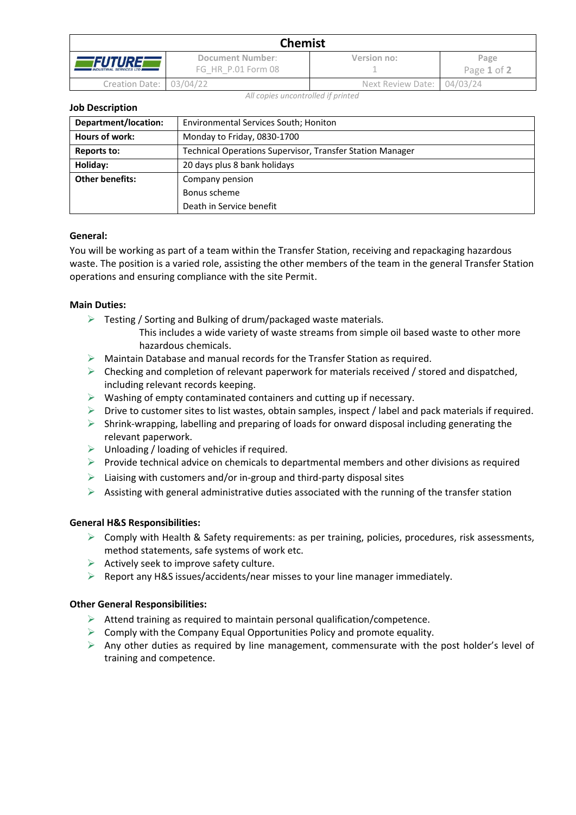| <b>Chemist</b>                                   |                                        |                            |                     |  |  |
|--------------------------------------------------|----------------------------------------|----------------------------|---------------------|--|--|
| <i>FUTURE</i><br><b>INDUSTRIAL SERVICES LTD.</b> | Document Number:<br>FG HR P.01 Form 08 | Version no:                | Page<br>Page 1 of 2 |  |  |
| Creation Date: 03/04/22                          |                                        | Next Review Date: 04/03/24 |                     |  |  |

*All copies uncontrolled if printed*

#### **Job Description**

| Department/location:   | <b>Environmental Services South; Honiton</b>              |  |  |
|------------------------|-----------------------------------------------------------|--|--|
| Hours of work:         | Monday to Friday, 0830-1700                               |  |  |
| Reports to:            | Technical Operations Supervisor, Transfer Station Manager |  |  |
| Holiday:               | 20 days plus 8 bank holidays                              |  |  |
| <b>Other benefits:</b> | Company pension                                           |  |  |
|                        | Bonus scheme                                              |  |  |
|                        | Death in Service benefit                                  |  |  |

## **General:**

You will be working as part of a team within the Transfer Station, receiving and repackaging hazardous waste. The position is a varied role, assisting the other members of the team in the general Transfer Station operations and ensuring compliance with the site Permit.

#### **Main Duties:**

- ➢ Testing / Sorting and Bulking of drum/packaged waste materials.
	- This includes a wide variety of waste streams from simple oil based waste to other more hazardous chemicals.
- $\triangleright$  Maintain Database and manual records for the Transfer Station as required.
- $\triangleright$  Checking and completion of relevant paperwork for materials received / stored and dispatched, including relevant records keeping.
- $\triangleright$  Washing of empty contaminated containers and cutting up if necessary.
- ➢ Drive to customer sites to list wastes, obtain samples, inspect / label and pack materials if required.
- $\triangleright$  Shrink-wrapping, labelling and preparing of loads for onward disposal including generating the relevant paperwork.
- $\triangleright$  Unloading / loading of vehicles if required.
- $\triangleright$  Provide technical advice on chemicals to departmental members and other divisions as required
- $\triangleright$  Liaising with customers and/or in-group and third-party disposal sites
- $\triangleright$  Assisting with general administrative duties associated with the running of the transfer station

## **General H&S Responsibilities:**

- ➢ Comply with Health & Safety requirements: as per training, policies, procedures, risk assessments, method statements, safe systems of work etc.
- $\triangleright$  Actively seek to improve safety culture.
- ➢ Report any H&S issues/accidents/near misses to your line manager immediately.

## **Other General Responsibilities:**

- $\triangleright$  Attend training as required to maintain personal qualification/competence.
- $\triangleright$  Comply with the Company Equal Opportunities Policy and promote equality.
- $\triangleright$  Any other duties as required by line management, commensurate with the post holder's level of training and competence.